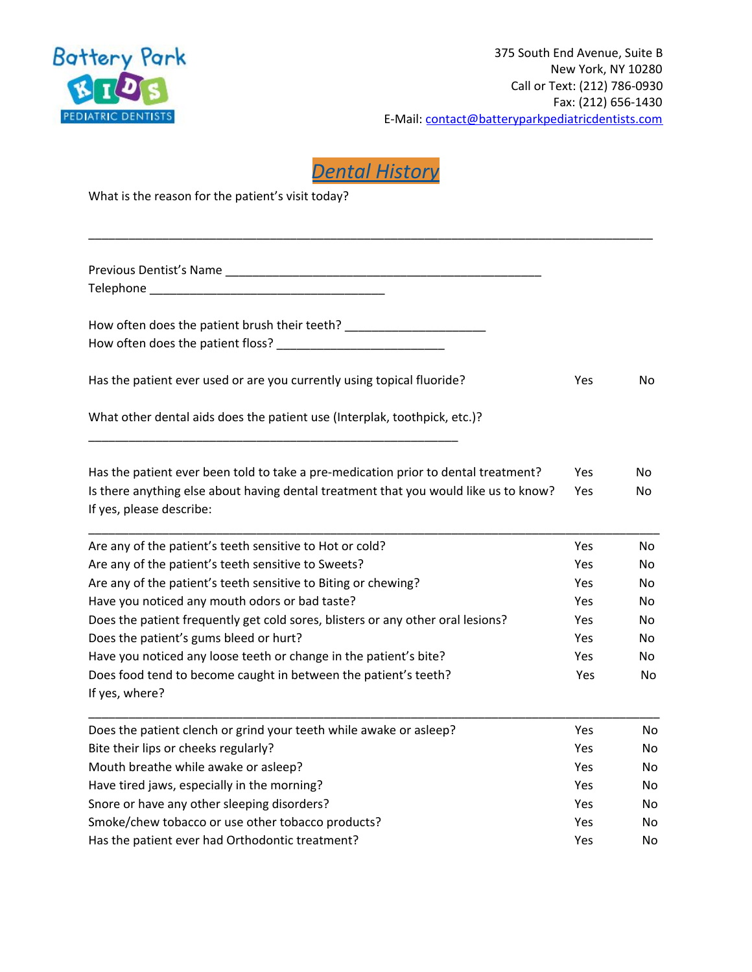

*Dental History*

\_\_\_\_\_\_\_\_\_\_\_\_\_\_\_\_\_\_\_\_\_\_\_\_\_\_\_\_\_\_\_\_\_\_\_\_\_\_\_\_\_\_\_\_\_\_\_\_\_\_\_\_\_\_\_\_\_\_\_\_\_\_\_\_\_\_\_\_\_\_\_\_\_\_\_\_\_\_\_\_\_\_\_\_

What is the reason for the patient's visit today?

| Previous Dentist's Name<br>Telephone and the contract of the contract of the contract of the contract of the contract of the contract of |            |           |
|------------------------------------------------------------------------------------------------------------------------------------------|------------|-----------|
| How often does the patient brush their teeth? __________________________________                                                         |            |           |
|                                                                                                                                          |            |           |
| Has the patient ever used or are you currently using topical fluoride?                                                                   | Yes        | <b>No</b> |
| What other dental aids does the patient use (Interplak, toothpick, etc.)?                                                                |            |           |
| Has the patient ever been told to take a pre-medication prior to dental treatment?                                                       | Yes        | No        |
| Is there anything else about having dental treatment that you would like us to know?<br>If yes, please describe:                         | Yes        | No        |
| Are any of the patient's teeth sensitive to Hot or cold?                                                                                 | Yes        | <b>No</b> |
| Are any of the patient's teeth sensitive to Sweets?                                                                                      | Yes        | No.       |
| Are any of the patient's teeth sensitive to Biting or chewing?                                                                           | <b>Yes</b> | No.       |
| Have you noticed any mouth odors or bad taste?                                                                                           | <b>Yes</b> | No.       |
| Does the patient frequently get cold sores, blisters or any other oral lesions?                                                          | <b>Yes</b> | No.       |
| Does the patient's gums bleed or hurt?                                                                                                   | Yes        | No.       |
| Have you noticed any loose teeth or change in the patient's bite?                                                                        | <b>Yes</b> | No.       |
| Does food tend to become caught in between the patient's teeth?<br>If yes, where?                                                        | Yes        | No        |
| Does the patient clench or grind your teeth while awake or asleep?                                                                       | Yes        | No.       |
| Bite their lips or cheeks regularly?                                                                                                     | <b>Yes</b> | <b>No</b> |
| Mouth breathe while awake or asleep?                                                                                                     | <b>Yes</b> | No        |
| Have tired jaws, especially in the morning?                                                                                              | Yes        | No        |
| Snore or have any other sleeping disorders?                                                                                              | Yes        | No        |
| Smoke/chew tobacco or use other tobacco products?                                                                                        | Yes        | No        |
| Has the patient ever had Orthodontic treatment?                                                                                          | Yes        | No        |